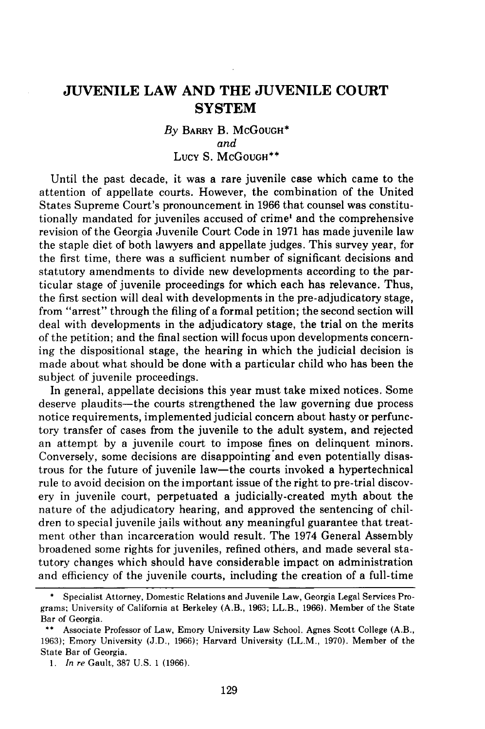# **JUVENILE LAW AND THE JUVENILE COURT SYSTEM**

# *By* **BARRY** B. McGOUGH\* *and* Lucy **S.** McGOUGH\*\*

Until the past decade, it was a rare juvenile case which came to the attention of appellate courts. However, the combination of the United States Supreme Court's pronouncement in **1966** that counsel was constitutionally mandated for juveniles accused of crime' and the comprehensive revision of the Georgia Juvenile Court Code in **1971** has made juvenile law the staple diet of both lawyers and appellate judges. This survey year, for the first time, there was a sufficient number of significant decisions and statutory amendments to divide new developments according to the particular stage of juvenile proceedings for which each has relevance. Thus, the first section will deal with developments in the pre-adjudicatory stage, from "arrest" through the filing of a formal petition; the second section will deal with developments in the adjudicatory stage, the trial on the merits of the petition; and the final section will focus upon developments concerning the dispositional stage, the hearing in which the judicial decision is made about what should be done with a particular child who has been the subject of juvenile proceedings.

In general, appellate decisions this year must take mixed notices. Some deserve plaudits—the courts strengthened the law governing due process notice requirements, implemented judicial concern about hasty or perfunctory transfer of cases from the juvenile to the adult system, and rejected an attempt **by** a juvenile court to impose fines on delinquent minors. Conversely, some decisions are disappointing'and even potentially disastrous for the future of juvenile law-the courts invoked a hypertechnical rule to avoid decision on the important issue of the right to pre-trial discovery in juvenile court, perpetuated a judicially-created myth about the nature of the adjudicatory hearing, and approved the sentencing of children to special juvenile jails without any meaningful guarantee that treatment other than incarceration would result. The 1974 General Assembly broadened some rights for juveniles, refined others, and made several statutory changes which should have considerable impact on administration and efficiency of the juvenile courts, including the creation of a full-time

**<sup>\*</sup>** Specialist Attorney, Domestic Relations and Juvenile Law, Georgia Legal Services Programs; University of California at Berkeley (A.B., **1963;** LL.B., **1966).** Member of the State Bar of Georgia.

**<sup>\*\*</sup>** Associate Professor of Law, Emory University Law School. Agnes Scott College (A.B., **1963);** Emory University **(J.D., 1966);** Harvard University (LL.M., **1970).** Member of the State Bar of Georgia.

*<sup>1.</sup> In re* Gault, **387 U.S. 1 (1966).**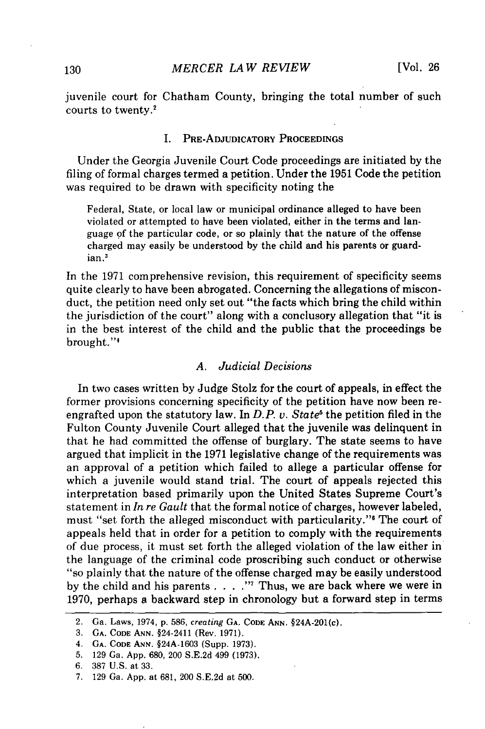juvenile court for Chatham County, bringing the total number of such courts to twenty.'

#### I. PRE-ADJUDICATORY PROCEEDINGS

Under the Georgia Juvenile Court Code proceedings are initiated by the filing of formal charges termed a petition. Under the 1951 Code the petition was required to be drawn with specificity noting the

Federal, State, or local law or municipal ordinance alleged to have been violated or attempted to have been violated, either in the terms and language of the particular code, or so plainly that the nature of the offense charged may easily be understood by the child and his parents or guardian.'

In the 1971 comprehensive revision, this requirement of specificity seems quite clearly to have been abrogated. Concerning the allegations of misconduct, the petition need only set out "the facts which bring the child within the jurisdiction of the court" along with a conclusory allegation that "it is in the best interest of the child and the public that the proceedings be brought."4

# *A. Judicial Decisions*

In two cases written by Judge Stolz for the court of appeals, in effect the former provisions concerning specificity of the petition have now been reengrafted upon the statutory law. In  $D.P. v. State<sup>5</sup>$  the petition filed in the Fulton County Juvenile Court alleged that the juvenile was delinquent in that he had committed the offense of burglary. The state seems to have argued that implicit in the 1971 legislative change of the requirements was an approval of a petition which failed to allege a particular offense for which a juvenile would stand trial. The court of appeals rejected this interpretation based primarily upon the United States Supreme Court's statement in *In re Gault* that the formal notice of charges, however labeled, must "set forth the alleged misconduct with particularity."<sup>6</sup> The court of appeals held that in order for a petition to comply with the requirements of due process, it must set forth the alleged violation of the law either in the language of the criminal code proscribing such conduct or otherwise "so plainly that the nature of the offense charged may be easily understood by the child and his parents . **. . .** " Thus, we are back where we were in 1970, perhaps a backward step in chronology but a forward step in terms

<sup>2.</sup> Ga. Laws, 1974, p. 586, *creating* **GA. CODE ANN.** §24A-201(c).

<sup>3.</sup> **GA.** CODE ANN. §24-2411 (Rev. 1971).

<sup>4.</sup> **GA. CODE ANN.** §24A-1603 (Supp. 1973).

<sup>5. 129</sup> Ga. App. 680, 200 S.E.2d 499 (1973).

<sup>6. 387</sup> U.S. at 33.

<sup>7. 129</sup> Ga. App. at 681, 200 S.E.2d at 500.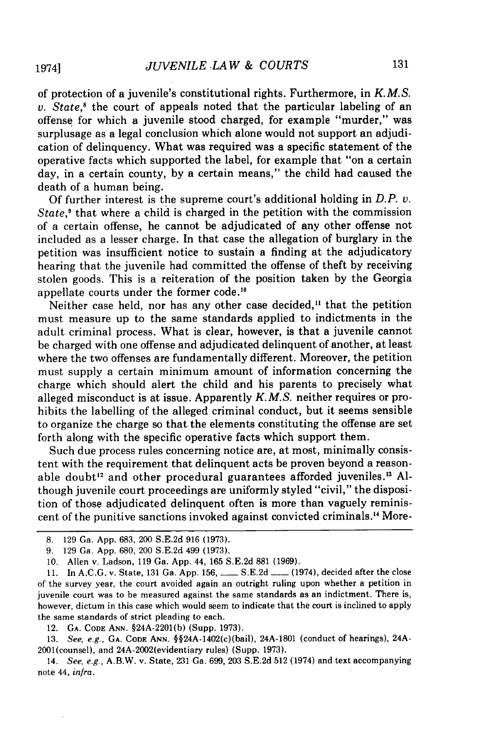of protection of a juvenile's constitutional rights. Furthermore, in *K.M.S.* v. *State,'* the court of appeals noted that the particular labeling of an offense for which a juvenile stood charged, for example "murder," was surplusage as a legal conclusion which alone would not support an adjudication of delinquency. What was required was a specific statement of the operative facts which supported the label, for example that "on a certain day, in a certain county, by a certain means," the child had caused the death of a human being.

Of further interest is the supreme court's additional holding in *D.P. v. State*,<sup>9</sup> that where a child is charged in the petition with the commission of a certain offense, he cannot be adjudicated of any other offense not included as a lesser charge. In that case the allegation of burglary in the petition was insufficient notice to sustain a finding at the adjudicatory hearing that the juvenile had committed the offense of theft by receiving stolen goods. This is a reiteration of the position taken by the Georgia appellate courts under the former code.'"

Neither case held, nor has any other case decided,<sup>11</sup> that the petition must measure up to the same standards applied to indictments in the adult criminal process. What is clear, however, is that a juvenile cannot be charged with one offense and adjudicated delinquent of another, at least where the two offenses are fundamentally different. Moreover, the petition must supply a certain minimum amount of information concerning the charge which should alert the child and his parents to precisely what alleged misconduct is at issue. Apparently *K.M.S.* neither requires or prohibits the labelling of the alleged criminal conduct, but it seems sensible to organize the charge so that the elements constituting the offense are set forth along with the specific operative facts which support them.

Such due process rules concerning notice are, at most, minimally consistent with the requirement that delinquent acts be proven beyond a reasonable doubt<sup>12</sup> and other procedural guarantees afforded juveniles.<sup>13</sup> Although juvenile court proceedings are uniformly styled "civil," the disposition of those adjudicated delinquent often is more than vaguely reminiscent of the punitive sanctions invoked against convicted criminals.'4 More-

12. **GA. CODE ANN.** §24A-2201(b) (Supp. 1973).

13. See, e.g., **GA. CODE ANN.** §§24A-1402(c)(bail), 24A-1801 (conduct of hearings), 24A-2001(counsel), and 24A-2002(evidentiary rules) (Supp. 1973).

<sup>8. 129</sup> Ga. App. 683, 200 S.E.2d 916 (1973).

<sup>9. 129</sup> Ga. App. 680, 200 S.E.2d 499 (1973).

<sup>10.</sup> Allen v. Ladson, 119 Ga. App. 44, 165 S.E.2d 881 (1969).

<sup>11.</sup> In A.C.G. v. State, 131 Ga. App. 156, \_\_\_\_ S.E.2d \_\_\_ (1974), decided after the close of the survey year, the court avoided again an outright ruling upon whether a petition in juvenile court was to be measured against the same standards as an indictment. There is, however, dictum in this case which would seem to indicate that the court is inclined to apply the same standards of strict pleading to each.

<sup>14.</sup> See, e.g., A.B.W. v. State, 231 Ga. 699, 203 S.E.2d 512 (1974) and text accompanying note 44, infra.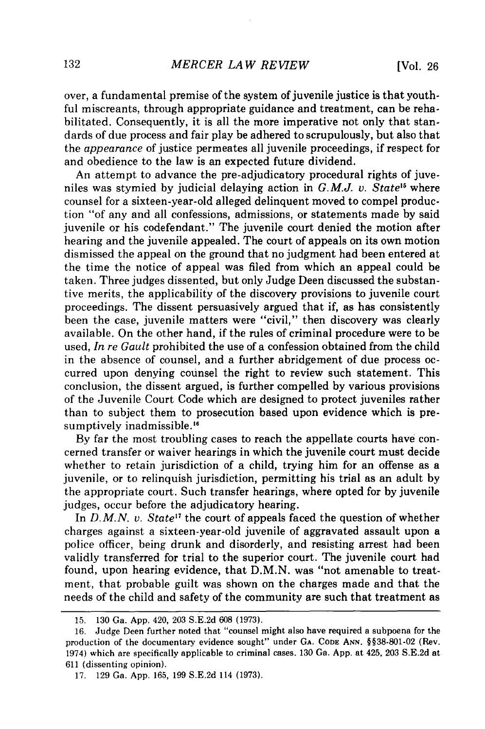over, a fundamental premise of the system of juvenile justice is that youthful miscreants, through appropriate guidance and treatment, can be rehabilitated. Consequently, it is all the more imperative not only that standards of due process and fair play be adhered to scrupulously, but also that the *appearance* of justice permeates all juvenile proceedings, if respect for and obedience to the law is an expected future dividend.

An attempt to advance the pre-adjudicatory procedural rights of juveniles was stymied by judicial delaying action in *G.M.J. v. State"5* where counsel for a sixteen-year-old alleged delinquent moved to compel production "of any and all confessions, admissions, or statements made by said juvenile or his codefendant." The juvenile court denied the motion after hearing and the juvenile appealed. The court of appeals on its own motion dismissed the appeal on the ground that no judgment had been entered at the time the notice of appeal was filed from which an appeal could be taken. Three judges dissented, but only Judge Deen discussed the substantive merits, the applicability of the discovery provisions to juvenile court proceedings. The dissent persuasively argued that if, as has consistently been the case, juvenile matters were "civil," then discovery was clearly available. On the other hand, if the rules of criminal procedure were to be used, *In re Gault* prohibited the use of a confession obtained from the child in the absence of counsel, and a further abridgement of due process occurred upon denying counsel the right to review such statement. This conclusion, the dissent argued, is further compelled by various provisions of the Juvenile Court Code which are designed to protect juveniles rather than to subject them to prosecution based upon evidence which is presumptively inadmissible.<sup>16</sup>

By far the most troubling cases to reach the appellate courts have concerned transfer or waiver hearings in which the juvenile court must decide whether to retain jurisdiction of a child, trying him for an offense as a juvenile, or to relinquish jurisdiction, permitting his trial as an adult by the appropriate court. Such transfer hearings, where opted for by juvenile judges, occur before the adjudicatory hearing.

In *D.M.N. v. State<sup>17</sup>* the court of appeals faced the question of whether charges against a sixteen-year-old juvenile of aggravated assault upon a police officer, being drunk and disorderly, and resisting arrest had been validly transferred for trial to the superior court. The juvenile court had found, upon hearing evidence, that D.M.N. was "not amenable to treatment, that probable guilt was shown on the charges made and that the needs of the child and safety of the community are such that treatment as

<sup>15. 130</sup> Ga. App. 420, 203 S.E.2d 608 (1973).

<sup>16.</sup> Judge Deen further noted that "counsel might also have required a subpoena for the production of the documentary evidence sought" under **GA.** CODE ANN. §§38-801-02 (Rev. 1974) which are specifically applicable to criminal cases. 130 Ga. App. at 425, 203 S.E.2d at 611 (dissenting opinion).

<sup>17. 129</sup> Ga. App. 165, 199 S.E.2d 114 (1973).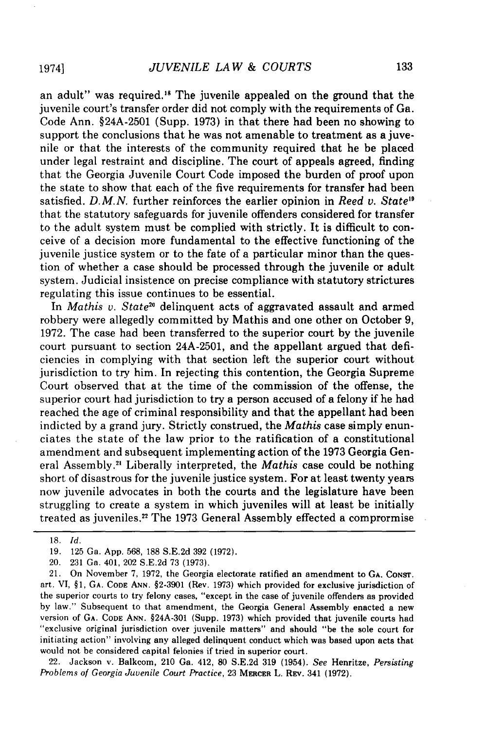an adult" was required."8 The juvenile appealed on the ground that the juvenile court's transfer order did not comply with the requirements of Ga. Code Ann. §24A-2501 (Supp. 1973) in that there had been no showing to support the conclusions that he was not amenable to treatment as a juvenile or that the interests of the community required that he be placed under legal restraint and discipline. The court of appeals agreed, finding that the Georgia Juvenile Court Code imposed the burden of proof upon the state to show that each of the five requirements for transfer had been satisfied. *D.M.N.* further reinforces the earlier opinion in *Reed v. State"* that the statutory safeguards for juvenile offenders considered for transfer to the adult system must be complied with strictly. It is difficult to conceive of a decision more fundamental to the effective functioning of the juvenile justice system or to the fate of a particular minor than the question of whether a case should be processed through the juvenile or adult system. Judicial insistence on precise compliance with statutory strictures regulating this issue continues to be essential.

In *Mathis v. State20* delinquent acts of aggravated assault and armed robbery were allegedly committed by Mathis and one other on October 9, 1972. The case had been transferred to the superior court by the juvenile court pursuant to section 24A-2501, and the appellant argued that deficiencies in complying with that section left the superior court without jurisdiction to try him. In rejecting this contention, the Georgia Supreme Court observed that at the time of the commission of the offense, the superior court had jurisdiction to try a person accused of a felony if he had reached the age of criminal responsibility and that the appellant had been indicted by a grand jury. Strictly construed, the *Mathis* case simply enunciates the state of the law prior to the ratification of a constitutional amendment and subsequent implementing action of the 1973 Georgia General Assembly.<sup>21</sup> Liberally interpreted, the *Mathis* case could be nothing short of disastrous for the juvenile justice system. For at least twenty years now juvenile advocates in both the courts and the legislature have been struggling to create a system in which juveniles will at least be initially treated as juveniles.<sup>22</sup> The 1973 General Assembly effected a comprormise

21. On November 7, 1972, the Georgia electorate ratified an amendment to GA. CONST. art. VI, §1, **GA. CODE ANN.** §2-3901 (Rev. 1973) which provided for exclusive jurisdiction of the superior courts to try felony cases, "except in the case of juvenile offenders as provided by law." Subsequent to that amendment, the Georgia General Assembly enacted a new version of **GA.** CODE **ANN.** §24A-301 (Supp. 1973) which provided that juvenile courts had "exclusive original jurisdiction over juvenile matters" and should "be the sole court for initiating action" involving any alleged delinquent conduct which was based upon acts that would not be considered capital felonies if tried in superior court.

22. Jackson v. Balkcom, 210 Ga. 412, 80 S.E.2d 319 (1954). See Henritze, *Persisting Problems of Georgia Juvenile Court Practice,* 23 MERCER L. REv. 341 **(1972).**

<sup>18.</sup> *Id.*

<sup>19. 125</sup> Ga. App. 568, 188 S.E.2d 392 (1972).

<sup>20. 231</sup> Ga. 401, 202 S.E.2d 73 (1973).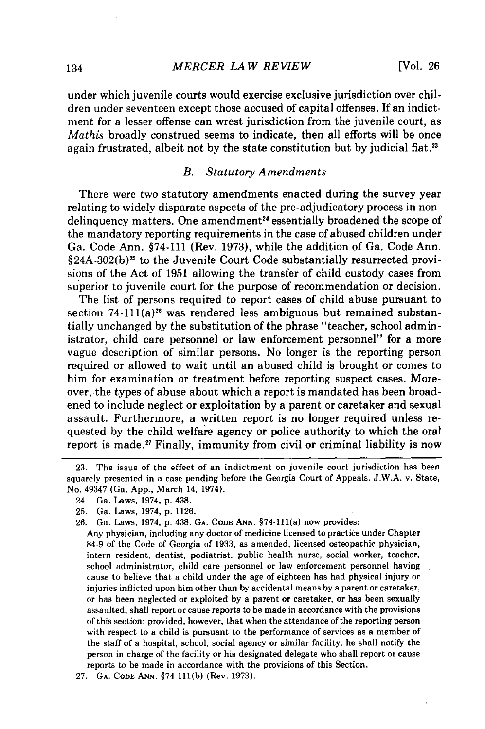under which juvenile courts would exercise exclusive jurisdiction over children under seventeen except those accused of capital offenses. If an indictment for a lesser offense can wrest jurisdiction from the juvenile court, as *Mathis* broadly construed seems to indicate, then all efforts will be once again frustrated, albeit not by the state constitution but by judicial fiat.<sup>23</sup>

# *B. Statutory Amendments*

There were two statutory amendments enacted during the survey year relating to widely disparate aspects of the pre-adjudicatory process in nondelinquency matters. One amendment<sup>24</sup> essentially broadened the scope of the mandatory reporting requirements in the case of abused children under Ga. Code Ann. §74-111 (Rev. 1973), while the addition of Ga. Code Ann.  $\S 24A-302(b)^{25}$  to the Juvenile Court Code substantially resurrected provisions of the Act of 1951 allowing the transfer of child custody cases from superior to juvenile court for the purpose of recommendation or decision.

The list of persons required to report cases of child abuse pursuant to section  $74-111(a)<sup>26</sup>$  was rendered less ambiguous but remained substantially unchanged by the substitution of the phrase "teacher, school administrator, child care personnel or law enforcement personnel" for a more vague description of similar persons. No longer is the reporting person required or allowed to wait until an abused child is brought or comes to him for examination or treatment before reporting suspect cases. Moreover, the types of abuse about which a report is mandated has been broadened to include neglect or exploitation by a parent or caretaker and sexual assault. Furthermore, a written report is no longer required unless requested by the child welfare agency or police authority to which the oral report is made.<sup>27</sup> Finally, immunity from civil or criminal liability is now

<sup>23.</sup> The issue of the effect of an indictment on juvenile court jurisdiction has been squarely presented in a case pending before the Georgia Court of Appeals. J.W.A. v. State, No. 49347 (Ga. App., March 14, 1974).

<sup>24.</sup> Ga. Laws, 1974, p. 438.

<sup>25.</sup> Ga. Laws, 1974, p. 1126.

<sup>26.</sup> Ga. Laws, 1974, p. 438. **GA.** CODE **ANN.** §74-111(a) now provides:

Any physician, including any doctor of medicine licensed to practice under Chapter 84-9 of the Code of Georgia of 1933, as amended, licensed osteopathic physician, intern resident, dentist, podiatrist, public health nurse, social worker, teacher, school administrator, child care personnel or law enforcement personnel having cause to believe that a child under the age of eighteen has had physical injury or injuries inflicted upon him other than by accidental means by a parent or caretaker, or has been neglected or exploited by a parent or caretaker, or has been sexually assaulted, shall report or cause reports to be made in accordance with the provisions of this section; provided, however, that when the attendance of the reporting person with respect to a child is pursuant to the performance of services as a member of the staff of a hospital, school, social agency or similar facility, he shall notify the person in charge of the facility or his designated delegate who shall report or cause reports to be made in accordance with the provisions of this Section.

<sup>27.</sup> **GA.** CODE **ANN.** §74-111(b) (Rev. 1973).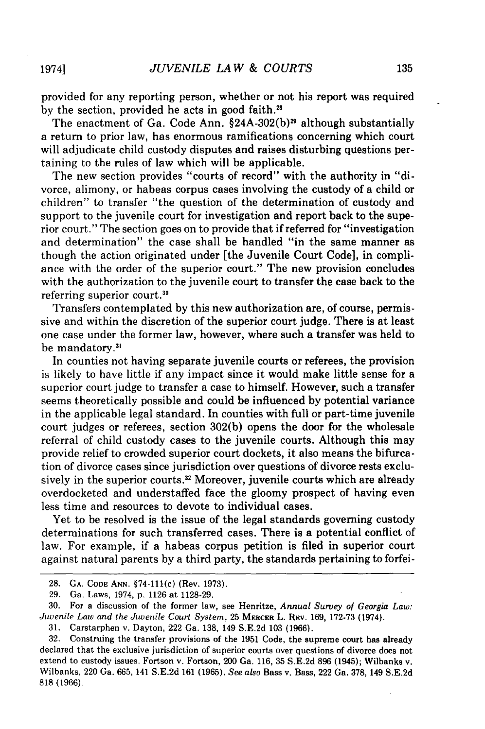provided for any reporting person, whether or not his report was required by the section, provided he acts in good faith.<sup>28</sup>

The enactment of Ga. Code Ann.  $§24A-302(b)$ <sup>29</sup> although substantially a return to prior law, has enormous ramifications concerning which court will adjudicate child custody disputes and raises disturbing questions pertaining to the rules of law which will be applicable.

The new section provides "courts of record" with the authority in "divorce, alimony, or habeas corpus cases involving the custody of a child or children" to transfer "the question of the determination of custody and support to the juvenile court for investigation and report back to the superior court." The section goes on to provide that if referred for "investigation and determination" the case shall be handled "in the same manner as though the action originated under [the Juvenile Court Code], in compliance with the order of the superior court." The new provision concludes with the authorization to the juvenile court to transfer the case back to the referring superior court.<sup>30</sup>

Transfers contemplated by this new authorization are, of course, permissive and within the discretion of the superior court judge. There is at least one case under the former law, however, where such a transfer was held to be mandatory.<sup>31</sup>

In counties not having separate juvenile courts or referees, the provision is likely to have little if any impact since it would make little sense for a superior court judge to transfer a case to himself. However, such a transfer seems theoretically possible and could be influenced by potential variance in the applicable legal standard. In counties with full or part-time juvenile court judges or referees, section 302(b) opens the door for the wholesale referral of child custody cases to the juvenile courts. Although this may provide relief to crowded superior court dockets, it also means the bifurcation of divorce cases since jurisdiction over questions of divorce rests exclusively in the superior courts.<sup>32</sup> Moreover, juvenile courts which are already overdocketed and understaffed face the gloomy prospect of having even less time and resources to devote to individual cases.

Yet to be resolved is the issue of the legal standards governing custody determinations for such transferred cases. There is a potential conflict of law. For example, if a habeas corpus petition is filed in superior court against natural parents by a third party, the standards pertaining to forfei-

19741

<sup>28.</sup> **GA.** CODE ANN. §74-111(c) (Rev. 1973).

<sup>29.</sup> Ga. Laws, 1974, p. 1126 at 1128-29.

<sup>30.</sup> For a discussion of the former law, see Henritze, *Annual Survey of Georgia Law: Juvenile Law and the Juvenile Court System,* 25 MERCER L. REv. 169, 172-73 (1974).

<sup>31.</sup> Carstarphen v. Dayton, 222 Ga. 138, 149 S.E.2d 103 (1966).

<sup>32.</sup> Construing the transfer provisions of the 1951 Code, the supreme court has already declared that the exclusive jurisdiction of superior courts over questions of divorce does not extend to custody issues. Fortson v. Fortson, 200 Ga. 116, 35 S.E.2d 896 (1945); Wilbanks v. Wilbanks, 220 Ga. 665, 141 S.E.2d 161 (1965). *See also* Bass v. Bass, 222 Ga. 378, 149 S.E.2d 818 (1966).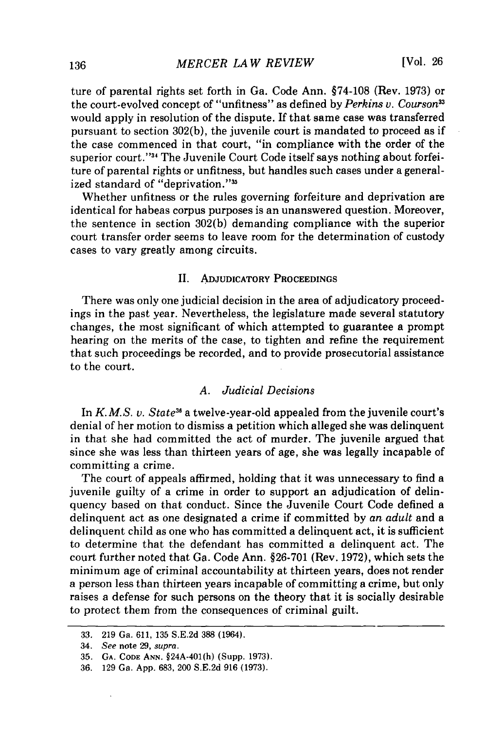ture of parental rights set forth in Ga. Code Ann. §74-108 (Rev. 1973) or the court-evolved concept of "unfitness" as defined by *Perkins v. Courson33* would apply in resolution of the dispute. If that same case was transferred pursuant to section 302(b), the juvenile court is mandated to proceed as if the case commenced in that court, "in compliance with the order of the superior court."<sup>34</sup> The Juvenile Court Code itself says nothing about forfeiture of parental rights or unfitness, but handles such cases under a generalized standard of "deprivation."<sup>35</sup>

Whether unfitness or the rules governing forfeiture and deprivation are identical for habeas corpus purposes is an unanswered question. Moreover, the sentence in section 302(b) demanding compliance with the superior court transfer order seems to leave room for the determination of custody cases to vary greatly among circuits.

# II. **ADJUDICATORY PROCEEDINGS**

There was only one judicial decision in the area of adjudicatory proceedings in the past year. Nevertheless, the legislature made several statutory changes, the most significant of which attempted to guarantee a prompt hearing on the merits of the case, to tighten and refine the requirement that such proceedings be recorded, and to provide prosecutorial assistance to the court.

## *A. Judicial Decisions*

In *K.M.S. v. State*<sup>36</sup> a twelve-year-old appealed from the juvenile court's denial of her motion to dismiss a petition which alleged she was delinquent in that she had committed the act of murder. The juvenile argued that since she was less than thirteen years of age, she was legally incapable of committing a crime.

The court of appeals affirmed, holding that it was unnecessary to find a juvenile guilty of a crime in order to support an adjudication of delinquency based on that conduct. Since the Juvenile Court Code defined a delinquent act as one designated a crime if committed **by** *an adult* and a delinquent child as one who has committed a delinquent act, it is sufficient to determine that the defendant has committed a delinquent act. The court further noted that Ga. Code Ann. **§26-701** (Rev. **1972),** which sets the minimum age of criminal accountability at thirteen years, does not render a person less than thirteen years incapable of committing a crime, but only raises a defense for such persons on the theory that it is socially desirable to protect them from the consequences of criminal guilt.

<sup>33.</sup> **219** Ga. 611, **135** S.E.2d 388 (1964).

<sup>34.</sup> See note 29, supra.

<sup>35.</sup> **GA. CODE ANN.** §24A-401(h) (Supp. 1973).

<sup>36. 129</sup> Ga. App. 683, 200 S.E.2d 916 (1973).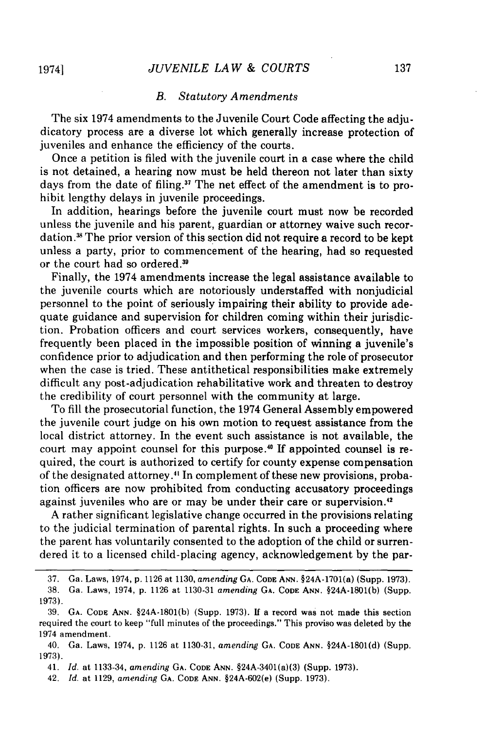## *JUVENILE LAW & COURTS*

# *B. Statutory Amendments*

The six 1974 amendments to the Juvenile Court Code affecting the adjudicatory process are a diverse lot which generally increase protection of juveniles and enhance the efficiency of the courts.

Once a petition is filed with the juvenile court in a case where the child is not detained, a hearing now must be held thereon not later than sixty days from the date of filing.<sup>37</sup> The net effect of the amendment is to prohibit lengthy delays in juvenile proceedings.

In addition, hearings before the juvenile court must now be recorded unless the juvenile and his parent, guardian or attorney waive such recordation.<sup>38</sup> The prior version of this section did not require a record to be kept unless a party, prior to commencement of the hearing, had so requested or the court had so ordered.

Finally, the 1974 amendments increase the legal assistance available to the juvenile courts which are notoriously understaffed with nonjudicial personnel to the point of seriously impairing their ability to provide adequate guidance and supervision for children coming within their jurisdiction. Probation officers and court services workers, consequently, have frequently been placed in the impossible position of winning a juvenile's confidence prior to adjudication and then performing the role of prosecutor when the case is tried. These antithetical responsibilities make extremely difficult any post-adjudication rehabilitative work and threaten to destroy the credibility of court personnel with the community at large.

To fill the prosecutorial function, the 1974 General Assembly empowered the juvenile court judge on his own motion to request assistance from the local district attorney. In the event such assistance is not available, the court may appoint counsel for this purpose." If appointed counsel is required, the court is authorized to certify for county expense compensation of the designated attorney." In complement of these new provisions, probation officers are now prohibited from conducting accusatory proceedings against juveniles who are or may be under their care or supervision.42

A rather significant legislative change occurred in the provisions relating to the judicial termination of parental rights. In such a proceeding where the parent has voluntarily consented to the adoption of the child or surrendered it to a licensed child-placing agency, acknowledgement by the par-

19741

<sup>37.</sup> Ga. Laws, 1974, p. 1126 at 1130, *amending* **GA. CODE ANN.** §24A-1701(a) (Supp. 1973).

<sup>38.</sup> Ga. Laws, 1974, p. 1126 at 1130-31 *amending* **GA. CODE ANN.** §24A-1801(b) (Supp. 1973).

<sup>39.</sup> GA. **CODE ANN.** §24A-1801(b) (Supp. 1973). If a record was not made this section required the court to keep "full minutes of the proceedings." This proviso was deleted by the 1974 amendment.

<sup>40.</sup> Ga. Laws, 1974, p. 1126 at 1130-31, *amending* GA. CODE **ANN.** §24A-1801(d) (Supp. 1973).

<sup>41.</sup> *Id.* at 1133-34, *amending* GA. **CODE ANN.** §24A-3401(a)(3) (Supp. 1973).

<sup>42.</sup> *Id.* at 1129, *amending* GA. CODE **ANN.** §24A-602(e) (Supp. 1973).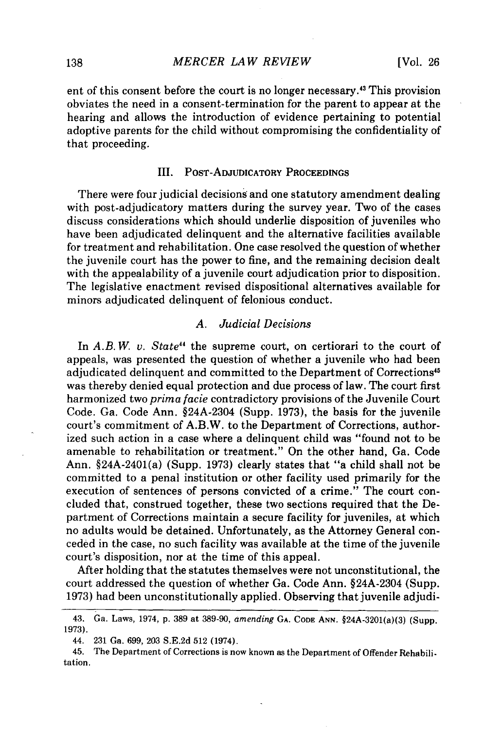ent of this consent before the court is no longer necessary.<sup>43</sup> This provision obviates the need in a consent-termination for the parent to appear at the hearing and allows the introduction of evidence pertaining to potential adoptive parents for the child without compromising the confidentiality of that proceeding.

#### III. POST-ADJUDICATORY **PROCEEDINGS**

There were four judicial decisions and one statutory amendment dealing with post-adjudicatory matters during the survey year. Two of the cases discuss considerations which should underlie disposition of juveniles who have been adjudicated delinquent and the alternative facilities available for treatment and rehabilitation. One case resolved the question of whether the juvenile court has the power to fine, and the remaining decision dealt with the appealability of a juvenile court adjudication prior to disposition. The legislative enactment revised dispositional alternatives available for minors adjudicated delinquent of felonious conduct.

## *A. Judicial Decisions*

In *A.B. W. v. State"* the supreme court, on certiorari to the court of appeals, was presented the question of whether a juvenile who had been adjudicated delinquent and committed to the Department of Corrections<sup>45</sup> was thereby denied equal protection and due process of law. The court first harmonized two *prima facie* contradictory provisions of the Juvenile Court Code. Ga. Code Ann. §24A-2304 (Supp. 1973), the basis for the juvenile court's commitment of A.B.W. to the Department of Corrections, authorized such action in a case where a delinquent child was "found not to be amenable to rehabilitation or treatment." On the other hand, Ga. Code Ann. §24A-2401(a) (Supp. 1973) clearly states that "a child shall not be committed to a penal institution or other facility used primarily for the execution of sentences of persons convicted of a crime." The court concluded that, construed together, these two sections required that the Department of Corrections maintain a secure facility for juveniles, at which no adults would be detained. Unfortunately, as the Attorney General conceded in the case, no such facility was available at the time of the juvenile court's disposition, nor at the time of this appeal.

After holding that the statutes themselves were not unconstitutional, the court addressed the question of whether Ga. Code Ann. §24A-2304 (Supp. 1973) had been unconstitutionally applied. Observing that juvenile adjudi-

<sup>43.</sup> Ga. Laws, 1974, **p.** 389 at 389-90, *amending* **GA. CODE ANN.** §24A-3201(a)(3) (Supp. 1973).

<sup>44. 231</sup> Ga. 699, 203 S.E.2d 512 (1974).

<sup>45.</sup> The Department of Corrections is now known as the Department of Offender Rehabili. tation.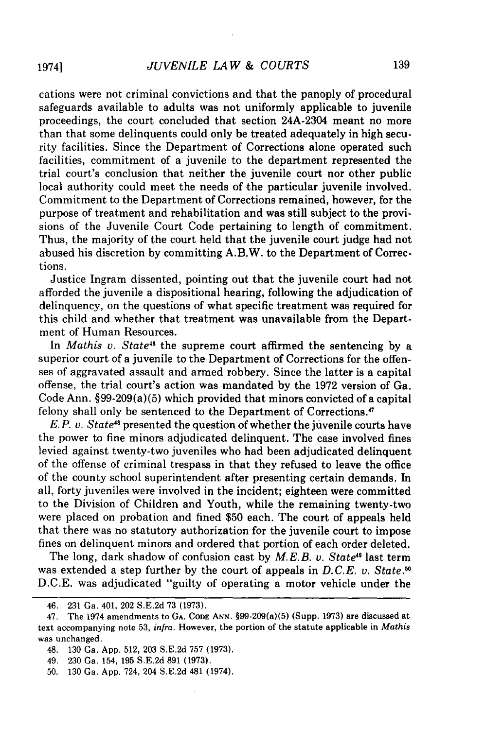cations were not criminal convictions and that the panoply of procedural safeguards available to adults was not uniformly applicable to juvenile proceedings, the court concluded that section 24A-2304 meant no more than that some delinquents could only be treated adequately in high security facilities. Since the Department of Corrections alone operated such facilities, commitment of a juvenile to the department represented the trial court's conclusion that neither the juvenile court nor other public local authority could meet the needs of the particular juvenile involved. Commitment to the Department of Corrections remained, however, for the purpose of treatment and rehabilitation and was still subject to the provisions of the Juvenile Court Code pertaining to length of commitment. Thus, the majority of the court held that the juvenile court judge had not abused his discretion by committing A.B.W. to the Department of Corrections.

Justice Ingram dissented, pointing out that the juvenile court had not afforded the juvenile a dispositional hearing, following the adjudication of delinquency, on the questions of what specific treatment was required for this child and whether that treatment was unavailable from the Department of Human Resources.

In *Mathis v. State<sup>46</sup>* the supreme court affirmed the sentencing by a superior court of a juvenile to the Department of Corrections for the offenses of aggravated assault and armed robbery. Since the latter is a capital offense, the trial court's action was mandated by the 1972 version of Ga. Code Ann. §99-209(a)(5) which provided that minors convicted of a capital felony shall only be sentenced to the Department of Corrections.47

*E.P. v. State<sup>48</sup>* presented the question of whether the juvenile courts have the power to fine minors adjudicated delinquent. The case involved fines levied against twenty-two juveniles who had been adjudicated delinquent of the offense of criminal trespass in that they refused to leave the office of the county school superintendent after presenting certain demands. In all, forty juveniles were involved in the incident; eighteen were committed to the Division of Children and Youth, while the remaining twenty-two were placed on probation and fined \$50 each. The court of appeals held that there was no statutory authorization for the juvenile court to impose fines on delinquent minors and ordered that portion of each order deleted.

The long, dark shadow of confusion cast by *M.E.B. v. State"* last term was extended a step further by the court of appeals in *D.C.E. v. State.* D.C.E. was adjudicated "guilty of operating a motor vehicle under the

<sup>46. 231</sup> Ga. 401, 202 S.E.2d 73 (1973).

<sup>47.</sup> The 1974 amendments to **GA. CODE ANN.** §99-209(a)(5) (Supp. 1973) are discussed at text accompanying note 53, *infra.* However, the portion of the statute applicable in *Mathis* was unchanged.

<sup>48. 130</sup> Ga. App. 512, 203 S.E.2d 757 (1973).

<sup>49. 230</sup> Ga. 154, 195 S.E.2d 891 (1973).

<sup>50. 130</sup> Ga. App. 724, 204 S.E.2d 481 (1974).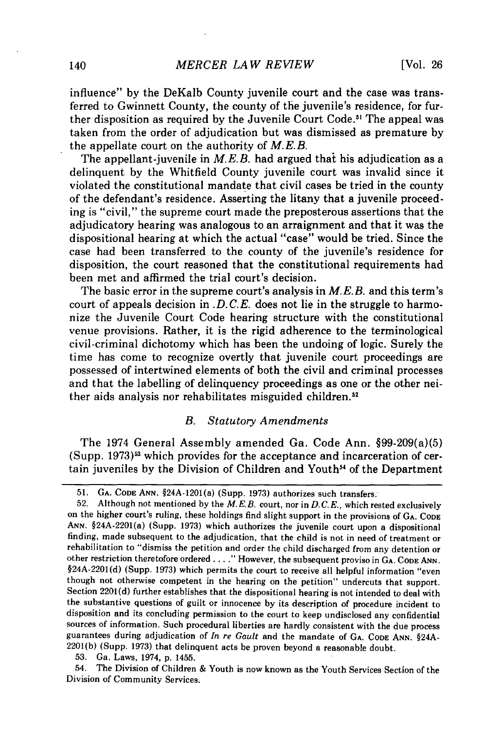influence" by the DeKalb County juvenile court and the case was transferred to Gwinnett County, the county of the juvenile's residence, for further disposition as required by the Juvenile Court Code.<sup>51</sup> The appeal was taken from the order of adjudication but was dismissed as premature by the appellate court on the authority of *M.E.B.*

The appellant-juvenile in *M.E.B.* had argued that his adjudication as a delinquent by the Whitfield County juvenile court was invalid since it violated the constitutional mandate that civil cases be tried in the county of the defendant's residence. Asserting the litany that a juvenile proceeding is "civil," the supreme court made the preposterous assertions that the adjudicatory hearing was analogous to an arraignment and that it was the dispositional hearing at which the actual "case" would be tried. Since the case had been transferred to the county of the juvenile's residence for disposition, the court reasoned that the constitutional requirements had been met and affirmed the trial court's decision.

The basic error in the supreme court's analysis in *M.E.B.* and this term's court of appeals decision in *.D.C.E.* does not lie in the struggle to harmonize the Juvenile Court Code hearing structure with the constitutional venue provisions. Rather, it is the rigid adherence to the terminological civil-criminal dichotomy which has been the undoing of logic. Surely the time has come to recognize overtly that juvenile court proceedings are possessed of intertwined elements of both the civil and criminal processes and that the labelling of delinquency proceedings as one or the other neither aids analysis nor rehabilitates misguided children.<sup>52</sup>

#### *B. Statutory Amendments*

The 1974 General Assembly amended Ga. Code Ann. §99-209(a)(5) (Supp. 1973)' which provides for the acceptance and incarceration of certain juveniles by the Division of Children and Youth<sup>54</sup> of the Department

53. Ga. Laws, 1974, p. 1455.

54. The Division of Children & Youth is now known as the Youth Services Section of the Division of Community Services.

<sup>51.</sup> **GA. CODE ANN.** §24A-1201(a) (Supp. 1973) authorizes such transfers.

<sup>52.</sup> Although not mentioned by the *M.E.B.* court, nor in *D.C.E.,* which rested exclusively on the higher court's ruling, these holdings find slight support in the provisions of **GA. CODE** ANN. §24A-2201(a) (Supp. 1973) which authorizes the juvenile court upon a dispositional finding, made subsequent to the adjudication, that the child is not in need of treatment or rehabilitation to "dismiss the petition and order the child discharged from any detention or other restriction theretofore ordered **...."** However, the subsequent proviso in **GA.** CODE **ANN.** §24A-2201(d) (Supp. 1973) which permits the court to receive all helpful information "even though not otherwise competent in the hearing on the petition" undercuts that support. Section 2201(d) further establishes that the dispositional hearing is not intended to deal with the substantive questions of guilt or innocence by its description of procedure incident to disposition and its concluding permission to the court to keep undisclosed any confidential sources of information. Such procedural liberties are hardly consistent with the due process guarantees during adjudication of *In re Gault* and the mandate of **GA. CODE ANN.** §24A-2201(b) (Supp. 1973) that delinquent acts be proven beyond a reasonable doubt.